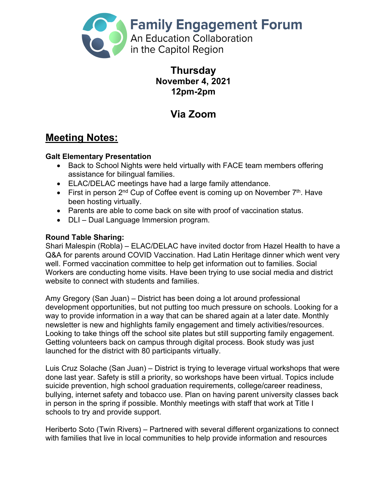

### **Thursday November 4, 2021 12pm-2pm**

# **Via Zoom**

## **Meeting Notes:**

#### **Galt Elementary Presentation**

- Back to School Nights were held virtually with FACE team members offering assistance for bilingual families.
- ELAC/DELAC meetings have had a large family attendance.
- First in person  $2^{nd}$  Cup of Coffee event is coming up on November  $7<sup>th</sup>$ . Have been hosting virtually.
- Parents are able to come back on site with proof of vaccination status.
- DLI Dual Language Immersion program.

#### **Round Table Sharing:**

Shari Malespin (Robla) – ELAC/DELAC have invited doctor from Hazel Health to have a Q&A for parents around COVID Vaccination. Had Latin Heritage dinner which went very well. Formed vaccination committee to help get information out to families. Social Workers are conducting home visits. Have been trying to use social media and district website to connect with students and families.

Amy Gregory (San Juan) – District has been doing a lot around professional development opportunities, but not putting too much pressure on schools. Looking for a way to provide information in a way that can be shared again at a later date. Monthly newsletter is new and highlights family engagement and timely activities/resources. Looking to take things off the school site plates but still supporting family engagement. Getting volunteers back on campus through digital process. Book study was just launched for the district with 80 participants virtually.

Luis Cruz Solache (San Juan) – District is trying to leverage virtual workshops that were done last year. Safety is still a priority, so workshops have been virtual. Topics include suicide prevention, high school graduation requirements, college/career readiness, bullying, internet safety and tobacco use. Plan on having parent university classes back in person in the spring if possible. Monthly meetings with staff that work at Title I schools to try and provide support.

Heriberto Soto (Twin Rivers) – Partnered with several different organizations to connect with families that live in local communities to help provide information and resources